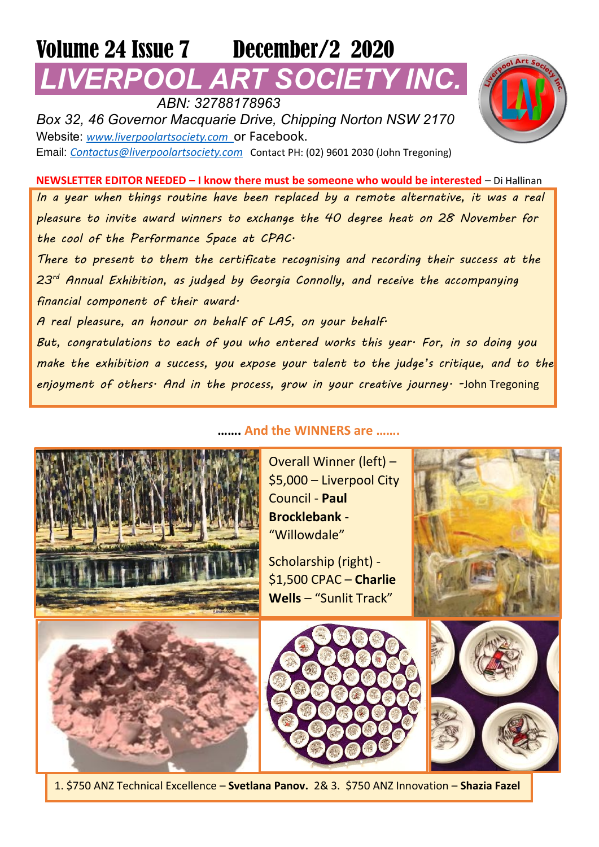## Volume 24 Issue 7 December/2 2020 **POOL ART SOCIETY INC.**

 *ABN: 32788178963 Box 32, 46 Governor Macquarie Drive, Chipping Norton NSW 2170* Website: *[www.liverpoolartsociety.com](http://www.liverpoolartsociety.com/)* or Facebook. Email: *[Contactus@liverpoolartsociety.com](mailto:Contactus@liverpoolartsociety.com)* Contact PH: (02) 9601 2030 (John Tregoning)

**NEWSLETTER EDITOR NEEDED – I know there must be someone who would be interested** – Di Hallinan *In a year when things routine have been replaced by a remote alternative, it was a real pleasure to invite award winners to exchange the 40 degree heat on 28 November for the cool of the Performance Space at CPAC.* 

*There to present to them the certificate recognising and recording their success at the 23rd Annual Exhibition, as judged by Georgia Connolly, and receive the accompanying financial component of their award.* 

*A real pleasure, an honour on behalf of LAS, on your behalf.*

*But, congratulations to each of you who entered works this year. For, in so doing you make the exhibition a success, you expose your talent to the judge's critique, and to the enjoyment of others. And in the process, grow in your creative journey. -*John Tregoning

## **……. And the WINNERS are …….**

Overall Winner (left) – \$5,000 – Liverpool City Council - **Paul Brocklebank** - "Willowdale"

Scholarship (right) - \$1,500 CPAC – **Charlie Wells** – "Sunlit Track"









1. \$750 ANZ Technical Excellence – **Svetlana Panov.** 2& 3. \$750 ANZ Innovation – **Shazia Fazel**